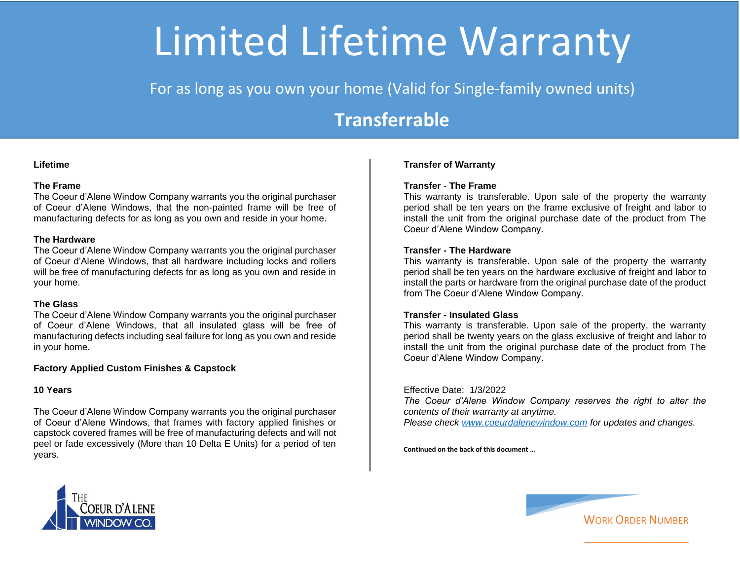# Limited Lifetime Warranty

For as long as you own your home (Valid for Single-family owned units)

## **Transferrable**

#### **Lifetime**

### **The Frame**

The Coeur d'Alene Window Company warrants you the original purchaser of Coeur d'Alene Windows, that the non-painted frame will be free of manufacturing defects for as long as you own and reside in your home.

#### **The Hardware**

The Coeur d'Alene Window Company warrants you the original purchaser of Coeur d'Alene Windows, that all hardware including locks and rollers will be free of manufacturing defects for as long as you own and reside in your home.

#### **The Glass**

The Coeur d'Alene Window Company warrants you the original purchaser of Coeur d'Alene Windows, that all insulated glass will be free of manufacturing defects including seal failure for long as you own and reside in your home.

## **Factory Applied Custom Finishes & Capstock**

#### **10 Years**

The Coeur d'Alene Window Company warrants you the original purchaser of Coeur d'Alene Windows, that frames with factory applied finishes or capstock covered frames will be free of manufacturing defects and will not peel or fade excessively (More than 10 Delta E Units) for a period of ten years.

#### **Transfer of Warranty**

### **Transfer** - **The Frame**

This warranty is transferable. Upon sale of the property the warranty period shall be ten years on the frame exclusive of freight and labor to install the unit from the original purchase date of the product from The Coeur d'Alene Window Company.

#### **Transfer - The Hardware**

This warranty is transferable. Upon sale of the property the warranty period shall be ten years on the hardware exclusive of freight and labor to install the parts or hardware from the original purchase date of the product from The Coeur d'Alene Window Company.

#### **Transfer - Insulated Glass**

This warranty is transferable. Upon sale of the property, the warranty period shall be twenty years on the glass exclusive of freight and labor to install the unit from the original purchase date of the product from The Coeur d'Alene Window Company.

#### Effective Date: 1/3/2022

*The Coeur d'Alene Window Company reserves the right to alter the contents of their warranty at anytime. Please check [www.coeurdalenewindow.com](http://www.coeurdalenewindow.com/) for updates and changes.* 

**Continued on the back of this document …** 





\_\_\_\_\_\_\_\_\_\_\_\_\_\_\_\_